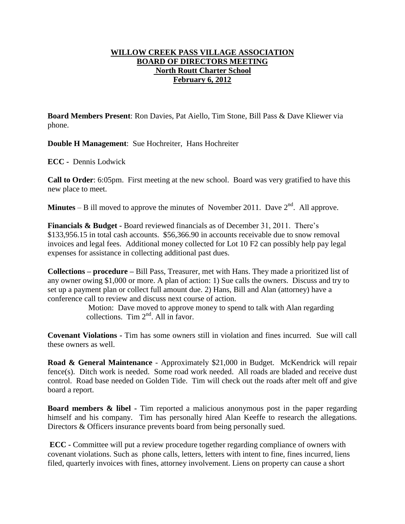## **WILLOW CREEK PASS VILLAGE ASSOCIATION BOARD OF DIRECTORS MEETING North Routt Charter School February 6, 2012**

**Board Members Present**: Ron Davies, Pat Aiello, Tim Stone, Bill Pass & Dave Kliewer via phone.

**Double H Management**: Sue Hochreiter, Hans Hochreiter

**ECC -** Dennis Lodwick

**Call to Order**: 6:05pm. First meeting at the new school. Board was very gratified to have this new place to meet.

**Minutes** – B ill moved to approve the minutes of November 2011. Dave  $2<sup>nd</sup>$ . All approve.

**Financials & Budget -** Board reviewed financials as of December 31, 2011. There's \$133,956.15 in total cash accounts. \$56,366.90 in accounts receivable due to snow removal invoices and legal fees. Additional money collected for Lot 10 F2 can possibly help pay legal expenses for assistance in collecting additional past dues.

**Collections – procedure –** Bill Pass, Treasurer, met with Hans. They made a prioritized list of any owner owing \$1,000 or more. A plan of action: 1) Sue calls the owners. Discuss and try to set up a payment plan or collect full amount due. 2) Hans, Bill and Alan (attorney) have a conference call to review and discuss next course of action.

> Motion: Dave moved to approve money to spend to talk with Alan regarding collections. Tim  $2<sup>nd</sup>$ . All in favor.

**Covenant Violations -** Tim has some owners still in violation and fines incurred. Sue will call these owners as well.

**Road & General Maintenance** - Approximately \$21,000 in Budget. McKendrick will repair fence(s). Ditch work is needed. Some road work needed. All roads are bladed and receive dust control. Road base needed on Golden Tide. Tim will check out the roads after melt off and give board a report.

**Board members & libel -** Tim reported a malicious anonymous post in the paper regarding himself and his company. Tim has personally hired Alan Keeffe to research the allegations. Directors & Officers insurance prevents board from being personally sued.

**ECC -** Committee will put a review procedure together regarding compliance of owners with covenant violations. Such as phone calls, letters, letters with intent to fine, fines incurred, liens filed, quarterly invoices with fines, attorney involvement. Liens on property can cause a short